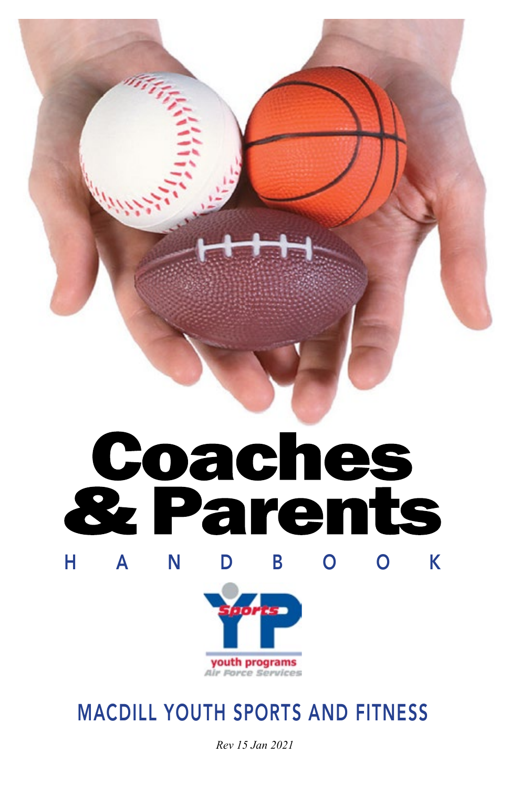

attr



## MACDILL YOUTH SPORTS AND FITNESS

*Rev 15 Jan 2021*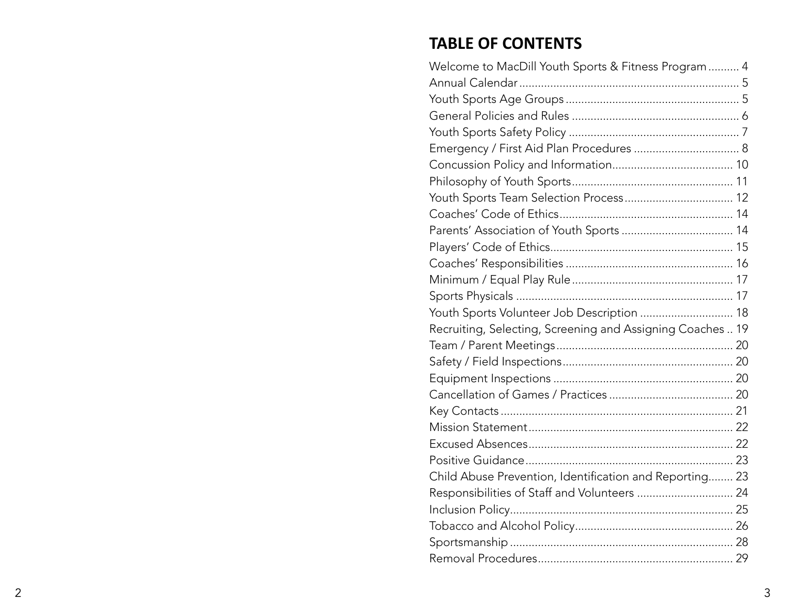## **TABLE OF CONTENTS**

| Welcome to MacDill Youth Sports & Fitness Program 4        |  |
|------------------------------------------------------------|--|
|                                                            |  |
|                                                            |  |
|                                                            |  |
|                                                            |  |
| Emergency / First Aid Plan Procedures  8                   |  |
|                                                            |  |
|                                                            |  |
|                                                            |  |
|                                                            |  |
|                                                            |  |
|                                                            |  |
|                                                            |  |
|                                                            |  |
|                                                            |  |
| Youth Sports Volunteer Job Description  18                 |  |
| Recruiting, Selecting, Screening and Assigning Coaches  19 |  |
|                                                            |  |
|                                                            |  |
|                                                            |  |
|                                                            |  |
|                                                            |  |
|                                                            |  |
|                                                            |  |
|                                                            |  |
| Child Abuse Prevention, Identification and Reporting 23    |  |
| Responsibilities of Staff and Volunteers  24               |  |
|                                                            |  |
|                                                            |  |
|                                                            |  |
|                                                            |  |
|                                                            |  |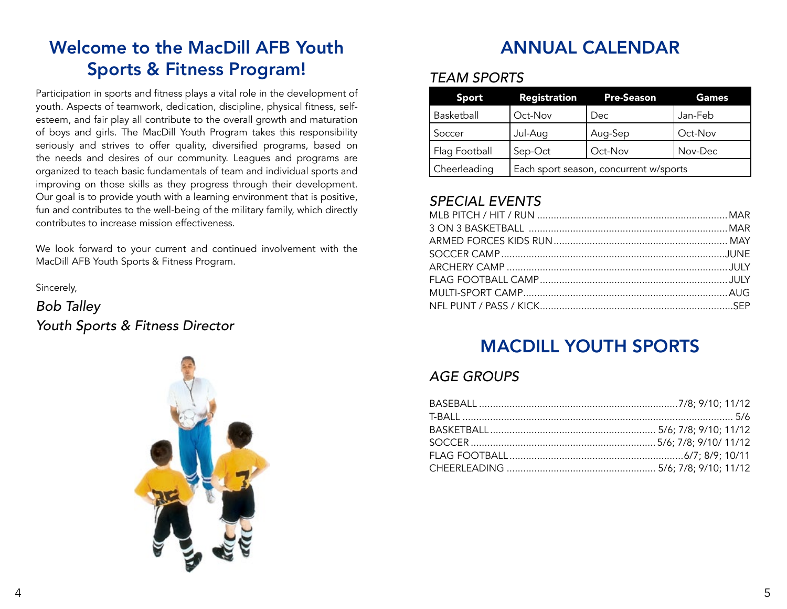## Welcome to the MacDill AFB Youth Sports & Fitness Program!

Participation in sports and fitness plays a vital role in the development of youth. Aspects of teamwork, dedication, discipline, physical fitness, selfesteem, and fair play all contribute to the overall growth and maturation of boys and girls. The MacDill Youth Program takes this responsibility seriously and strives to offer quality, diversified programs, based on the needs and desires of our community. Leagues and programs are organized to teach basic fundamentals of team and individual sports and improving on those skills as they progress through their development. Our goal is to provide youth with a learning environment that is positive, fun and contributes to the well-being of the military family, which directly contributes to increase mission effectiveness.

We look forward to your current and continued involvement with the MacDill AFB Youth Sports & Fitness Program.

Sincerely,

### *Bob Talley Youth Sports & Fitness Director*



# ANNUAL CALENDAR

### *TEAM SPORTS*

| Sport                                                  | <b>Registration</b> | <b>Pre-Season</b> | <b>Games</b> |
|--------------------------------------------------------|---------------------|-------------------|--------------|
| Basketball                                             | Oct-Nov             | Dec               | Jan-Feb      |
| Soccer                                                 | Jul-Aug             | Aug-Sep           | Oct-Nov      |
| Flag Football                                          | Sep-Oct             | Oct-Nov           | Nov-Dec      |
| Cheerleading<br>Each sport season, concurrent w/sports |                     |                   |              |

#### *SPECIAL EVENTS*

## MACDILL YOUTH SPORTS

### *AGE GROUPS*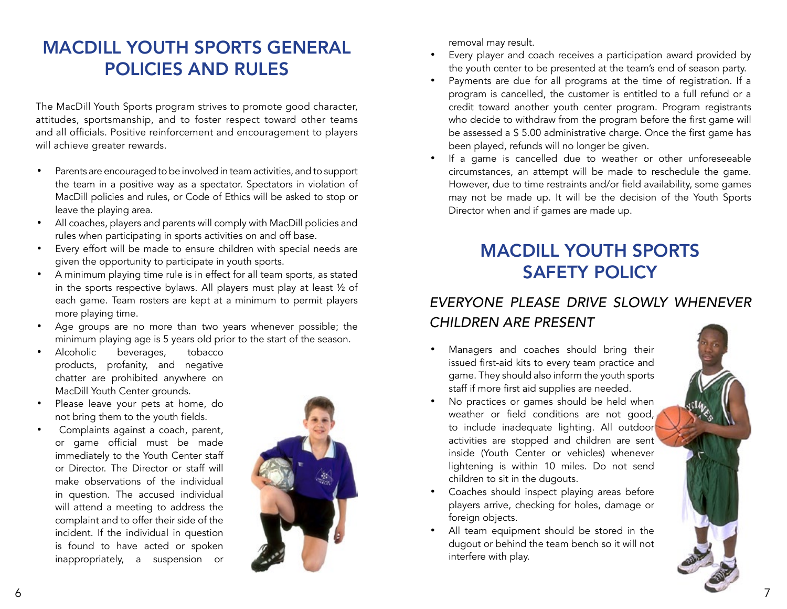## MACDILL YOUTH SPORTS GENERAL POLICIES AND RULES

The MacDill Youth Sports program strives to promote good character, attitudes, sportsmanship, and to foster respect toward other teams and all officials. Positive reinforcement and encouragement to players will achieve greater rewards.

- Parents are encouraged to be involved in team activities, and to support the team in a positive way as a spectator. Spectators in violation of MacDill policies and rules, or Code of Ethics will be asked to stop or leave the playing area.
- All coaches, players and parents will comply with MacDill policies and rules when participating in sports activities on and off base.
- Every effort will be made to ensure children with special needs are given the opportunity to participate in youth sports.
- A minimum playing time rule is in effect for all team sports, as stated in the sports respective bylaws. All players must play at least ½ of each game. Team rosters are kept at a minimum to permit players more playing time.
- Age groups are no more than two years whenever possible; the minimum playing age is 5 years old prior to the start of the season.
- Alcoholic beverages, tobacco products, profanity, and negative chatter are prohibited anywhere on MacDill Youth Center grounds.
- Please leave your pets at home, do not bring them to the youth fields.
- Complaints against a coach, parent, or game official must be made immediately to the Youth Center staff or Director. The Director or staff will make observations of the individual in question. The accused individual will attend a meeting to address the complaint and to offer their side of the incident. If the individual in question is found to have acted or spoken inappropriately, a suspension or



removal may result.

- Every player and coach receives a participation award provided by the youth center to be presented at the team's end of season party.
- Payments are due for all programs at the time of registration. If a program is cancelled, the customer is entitled to a full refund or a credit toward another youth center program. Program registrants who decide to withdraw from the program before the first game will be assessed a \$ 5.00 administrative charge. Once the first game has been played, refunds will no longer be given.
- If a game is cancelled due to weather or other unforeseeable circumstances, an attempt will be made to reschedule the game. However, due to time restraints and/or field availability, some games may not be made up. It will be the decision of the Youth Sports Director when and if games are made up.

# MACDILL YOUTH SPORTS SAFETY POLICY

### *EVERYONE PLEASE DRIVE SLOWLY WHENEVER CHILDREN ARE PRESENT*

- Managers and coaches should bring their issued first-aid kits to every team practice and game. They should also inform the youth sports staff if more first aid supplies are needed.
- No practices or games should be held when weather or field conditions are not good, to include inadequate lighting. All outdoor activities are stopped and children are sent inside (Youth Center or vehicles) whenever lightening is within 10 miles. Do not send children to sit in the dugouts.
- Coaches should inspect playing areas before players arrive, checking for holes, damage or foreign objects.
- All team equipment should be stored in the dugout or behind the team bench so it will not interfere with play.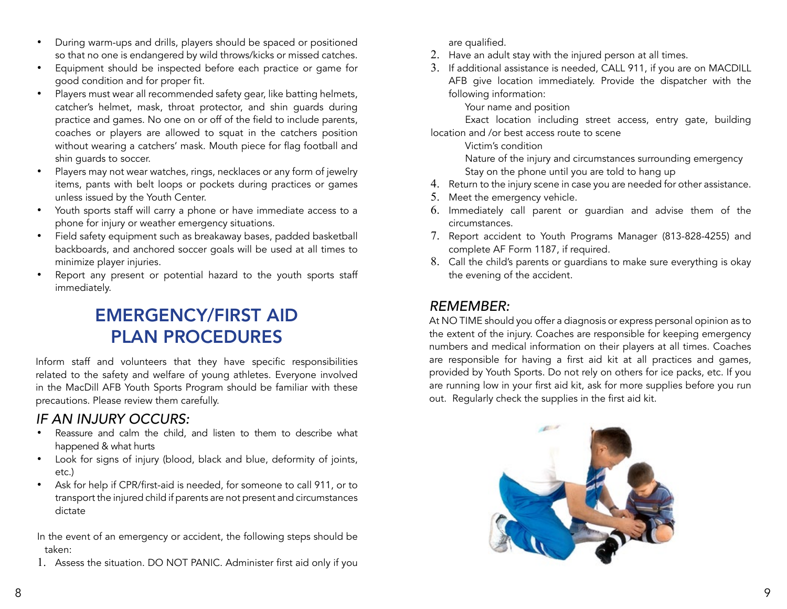- During warm-ups and drills, players should be spaced or positioned so that no one is endangered by wild throws/kicks or missed catches.
- Equipment should be inspected before each practice or game for good condition and for proper fit.
- Players must wear all recommended safety gear, like batting helmets, catcher's helmet, mask, throat protector, and shin guards during practice and games. No one on or off of the field to include parents, coaches or players are allowed to squat in the catchers position without wearing a catchers' mask. Mouth piece for flag football and shin guards to soccer.
- Players may not wear watches, rings, necklaces or any form of jewelry items, pants with belt loops or pockets during practices or games unless issued by the Youth Center.
- Youth sports staff will carry a phone or have immediate access to a phone for injury or weather emergency situations.
- Field safety equipment such as breakaway bases, padded basketball backboards, and anchored soccer goals will be used at all times to minimize player injuries.
- Report any present or potential hazard to the youth sports staff immediately.

## EMERGENCY/FIRST AID PLAN PROCEDURES

Inform staff and volunteers that they have specific responsibilities related to the safety and welfare of young athletes. Everyone involved in the MacDill AFB Youth Sports Program should be familiar with these precautions. Please review them carefully.

### *IF AN INJURY OCCURS:*

- Reassure and calm the child, and listen to them to describe what happened & what hurts
- Look for signs of injury (blood, black and blue, deformity of joints, etc.)
- Ask for help if CPR/first-aid is needed, for someone to call 911, or to transport the injured child if parents are not present and circumstances dictate

In the event of an emergency or accident, the following steps should be taken:

1. Assess the situation. DO NOT PANIC. Administer first aid only if you

are qualified.

- 2. Have an adult stay with the injured person at all times.
- 3. If additional assistance is needed, CALL 911, if you are on MACDILL AFB give location immediately. Provide the dispatcher with the following information:

Your name and position

Exact location including street access, entry gate, building location and /or best access route to scene

Victim's condition

Nature of the injury and circumstances surrounding emergency Stay on the phone until you are told to hang up

- 4. Return to the injury scene in case you are needed for other assistance.
- 5. Meet the emergency vehicle.
- 6. Immediately call parent or guardian and advise them of the circumstances.
- 7. Report accident to Youth Programs Manager (813-828-4255) and complete AF Form 1187, if required.
- 8. Call the child's parents or guardians to make sure everything is okay the evening of the accident.

#### *REMEMBER:*

At NO TIME should you offer a diagnosis or express personal opinion as to the extent of the injury. Coaches are responsible for keeping emergency numbers and medical information on their players at all times. Coaches are responsible for having a first aid kit at all practices and games, provided by Youth Sports. Do not rely on others for ice packs, etc. If you are running low in your first aid kit, ask for more supplies before you run out. Regularly check the supplies in the first aid kit.

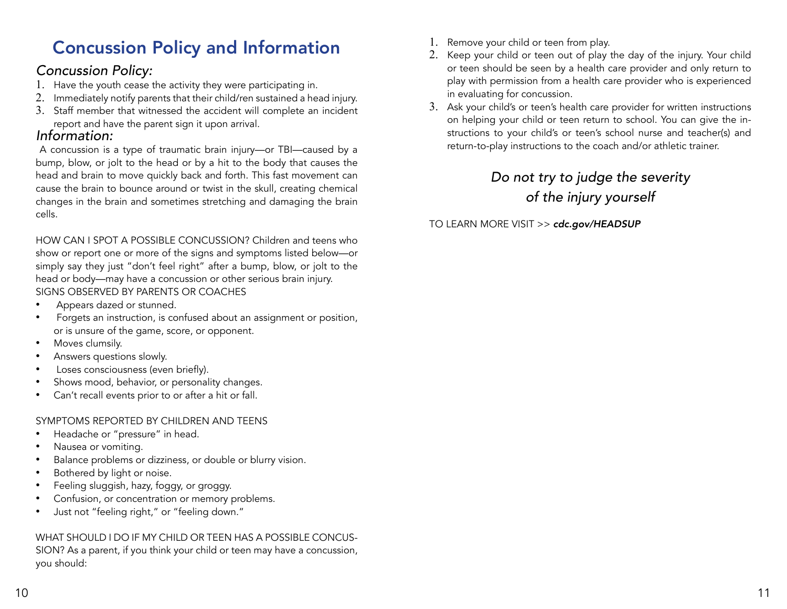## Concussion Policy and Information

### *Concussion Policy:*

- 1. Have the youth cease the activity they were participating in.
- 2. Immediately notify parents that their child/ren sustained a head injury.
- 3. Staff member that witnessed the accident will complete an incident report and have the parent sign it upon arrival.

### *Information:*

 A concussion is a type of traumatic brain injury—or TBI—caused by a bump, blow, or jolt to the head or by a hit to the body that causes the head and brain to move quickly back and forth. This fast movement can cause the brain to bounce around or twist in the skull, creating chemical changes in the brain and sometimes stretching and damaging the brain cells.

HOW CAN I SPOT A POSSIBLE CONCUSSION? Children and teens who show or report one or more of the signs and symptoms listed below—or simply say they just "don't feel right" after a bump, blow, or jolt to the head or body—may have a concussion or other serious brain injury. SIGNS OBSERVED BY PARENTS OR COACHES

- Appears dazed or stunned.
- Forgets an instruction, is confused about an assignment or position, or is unsure of the game, score, or opponent.
- Moves clumsily.
- Answers questions slowly.
- Loses consciousness (even briefly).
- Shows mood, behavior, or personality changes.
- Can't recall events prior to or after a hit or fall.

#### SYMPTOMS REPORTED BY CHILDREN AND TEENS

- Headache or "pressure" in head.
- Nausea or vomiting.
- Balance problems or dizziness, or double or blurry vision.
- Bothered by light or noise.
- Feeling sluggish, hazy, foggy, or groggy.
- Confusion, or concentration or memory problems.
- Just not "feeling right," or "feeling down."

#### WHAT SHOULD I DO IF MY CHILD OR TEEN HAS A POSSIBLE CONCUS-

SION? As a parent, if you think your child or teen may have a concussion, you should:

- 1. Remove your child or teen from play.
- 2. Keep your child or teen out of play the day of the injury. Your child or teen should be seen by a health care provider and only return to play with permission from a health care provider who is experienced in evaluating for concussion.
- 3. Ask your child's or teen's health care provider for written instructions on helping your child or teen return to school. You can give the instructions to your child's or teen's school nurse and teacher(s) and return-to-play instructions to the coach and/or athletic trainer.

### *Do not try to judge the severity of the injury yourself*

TO LEARN MORE VISIT >> *cdc.gov/HEADSUP*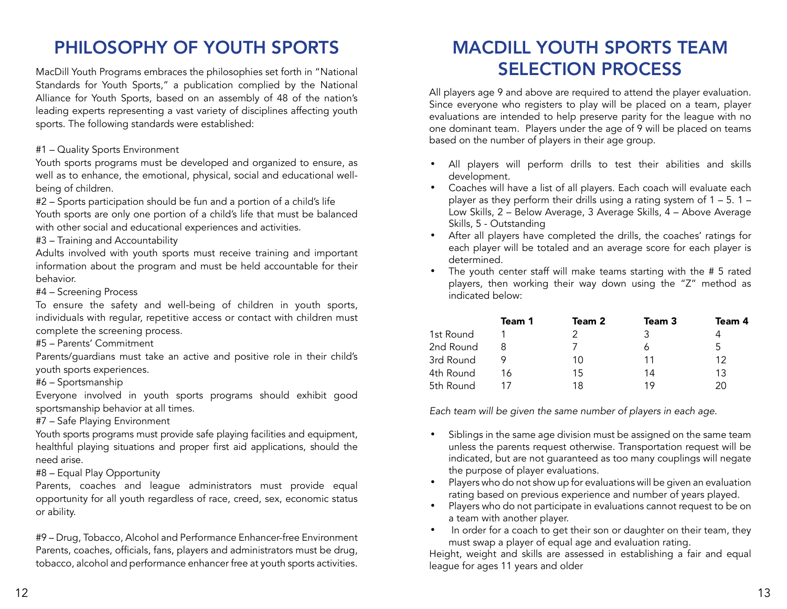## PHILOSOPHY OF YOUTH SPORTS

MacDill Youth Programs embraces the philosophies set forth in "National Standards for Youth Sports," a publication complied by the National Alliance for Youth Sports, based on an assembly of 48 of the nation's leading experts representing a vast variety of disciplines affecting youth sports. The following standards were established:

#### #1 – Quality Sports Environment

Youth sports programs must be developed and organized to ensure, as well as to enhance, the emotional, physical, social and educational wellbeing of children.

#2 – Sports participation should be fun and a portion of a child's life Youth sports are only one portion of a child's life that must be balanced with other social and educational experiences and activities.

#3 – Training and Accountability

Adults involved with youth sports must receive training and important information about the program and must be held accountable for their behavior.

#4 – Screening Process

To ensure the safety and well-being of children in youth sports, individuals with regular, repetitive access or contact with children must complete the screening process.

#5 – Parents' Commitment

Parents/guardians must take an active and positive role in their child's youth sports experiences.

#6 – Sportsmanship

Everyone involved in youth sports programs should exhibit good sportsmanship behavior at all times.

#7 – Safe Playing Environment

Youth sports programs must provide safe playing facilities and equipment, healthful playing situations and proper first aid applications, should the need arise.

#8 – Equal Play Opportunity

Parents, coaches and league administrators must provide equal opportunity for all youth regardless of race, creed, sex, economic status or ability.

#9 – Drug, Tobacco, Alcohol and Performance Enhancer-free Environment Parents, coaches, officials, fans, players and administrators must be drug, tobacco, alcohol and performance enhancer free at youth sports activities.

## MACDILL YOUTH SPORTS TEAM SELECTION PROCESS

All players age 9 and above are required to attend the player evaluation. Since everyone who registers to play will be placed on a team, player evaluations are intended to help preserve parity for the league with no one dominant team. Players under the age of 9 will be placed on teams based on the number of players in their age group.

- All players will perform drills to test their abilities and skills development.
- Coaches will have a list of all players. Each coach will evaluate each player as they perform their drills using a rating system of  $1 - 5$ .  $1 -$ Low Skills, 2 – Below Average, 3 Average Skills, 4 – Above Average Skills, 5 - Outstanding
- After all players have completed the drills, the coaches' ratings for each player will be totaled and an average score for each player is determined.
- The youth center staff will make teams starting with the # 5 rated players, then working their way down using the "Z" method as indicated below:

| Team 1 | Team 2 | Team 3 | Team 4        |
|--------|--------|--------|---------------|
|        |        | З      |               |
|        |        |        | $\mathcal{P}$ |
|        | 10     | 11     | 12            |
| 16     | 15     | 14     | 13            |
|        | 18     | 19     | 20            |
|        |        |        |               |

*Each team will be given the same number of players in each age*.

- Siblings in the same age division must be assigned on the same team unless the parents request otherwise. Transportation request will be indicated, but are not guaranteed as too many couplings will negate the purpose of player evaluations.
- Players who do not show up for evaluations will be given an evaluation rating based on previous experience and number of years played.
- Players who do not participate in evaluations cannot request to be on a team with another player.
- In order for a coach to get their son or daughter on their team, they must swap a player of equal age and evaluation rating.

Height, weight and skills are assessed in establishing a fair and equal league for ages 11 years and older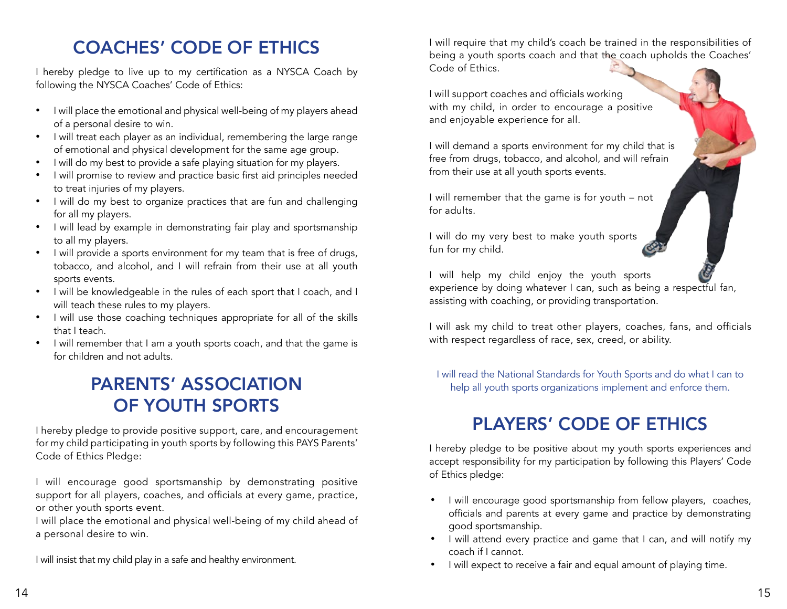# COACHES' CODE OF ETHICS

I hereby pledge to live up to my certification as a NYSCA Coach by following the NYSCA Coaches' Code of Ethics:

- I will place the emotional and physical well-being of my players ahead of a personal desire to win.
- I will treat each player as an individual, remembering the large range of emotional and physical development for the same age group.
- I will do my best to provide a safe playing situation for my players.
- I will promise to review and practice basic first aid principles needed to treat injuries of my players.
- I will do my best to organize practices that are fun and challenging for all my players.
- I will lead by example in demonstrating fair play and sportsmanship to all my players.
- I will provide a sports environment for my team that is free of drugs, tobacco, and alcohol, and I will refrain from their use at all youth sports events.
- I will be knowledgeable in the rules of each sport that I coach, and I will teach these rules to my players.
- I will use those coaching techniques appropriate for all of the skills that I teach.
- I will remember that I am a youth sports coach, and that the game is for children and not adults.

## PARENTS' ASSOCIATION OF YOUTH SPORTS

I hereby pledge to provide positive support, care, and encouragement for my child participating in youth sports by following this PAYS Parents' Code of Ethics Pledge:

I will encourage good sportsmanship by demonstrating positive support for all players, coaches, and officials at every game, practice, or other youth sports event.

I will place the emotional and physical well-being of my child ahead of a personal desire to win.

I will insist that my child play in a safe and healthy environment.

I will require that my child's coach be trained in the responsibilities of being a youth sports coach and that the coach upholds the Coaches' Code of Ethics.

I will support coaches and officials working with my child, in order to encourage a positive and enjoyable experience for all.

I will demand a sports environment for my child that is free from drugs, tobacco, and alcohol, and will refrain from their use at all youth sports events.

I will remember that the game is for youth – not for adults.

I will do my very best to make youth sports fun for my child.

I will help my child enjoy the youth sports experience by doing whatever I can, such as being a respectful fan, assisting with coaching, or providing transportation.

I will ask my child to treat other players, coaches, fans, and officials with respect regardless of race, sex, creed, or ability.

I will read the National Standards for Youth Sports and do what I can to help all youth sports organizations implement and enforce them.

## PLAYERS' CODE OF ETHICS

I hereby pledge to be positive about my youth sports experiences and accept responsibility for my participation by following this Players' Code of Ethics pledge:

- I will encourage good sportsmanship from fellow players, coaches, officials and parents at every game and practice by demonstrating good sportsmanship.
- I will attend every practice and game that I can, and will notify my coach if I cannot.
- I will expect to receive a fair and equal amount of playing time.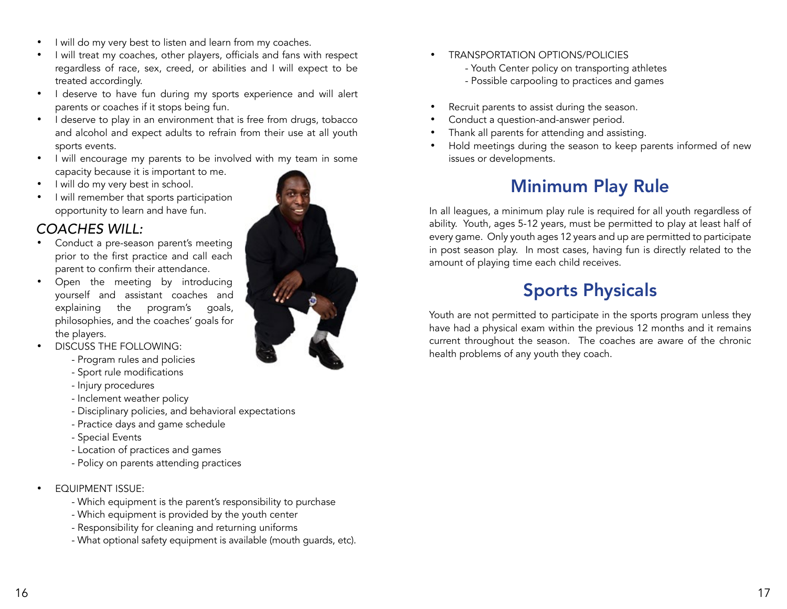- I will do my very best to listen and learn from my coaches.
- I will treat my coaches, other players, officials and fans with respect regardless of race, sex, creed, or abilities and I will expect to be treated accordingly.
- I deserve to have fun during my sports experience and will alert parents or coaches if it stops being fun.
- I deserve to play in an environment that is free from drugs, tobacco and alcohol and expect adults to refrain from their use at all youth sports events.
- I will encourage my parents to be involved with my team in some capacity because it is important to me.
- I will do my very best in school.
- I will remember that sports participation opportunity to learn and have fun.

### *COACHES WILL:*

- Conduct a pre-season parent's meeting prior to the first practice and call each parent to confirm their attendance.
- Open the meeting by introducing yourself and assistant coaches and explaining the program's goals, philosophies, and the coaches' goals for the players.
- DISCUSS THE FOLLOWING:
	- Program rules and policies
	- Sport rule modifications
	- Injury procedures
	- Inclement weather policy
	- Disciplinary policies, and behavioral expectations
	- Practice days and game schedule
	- Special Events
	- Location of practices and games
	- Policy on parents attending practices
- EQUIPMENT ISSUE:
	- Which equipment is the parent's responsibility to purchase
	- Which equipment is provided by the youth center
	- Responsibility for cleaning and returning uniforms
	- What optional safety equipment is available (mouth guards, etc).



- TRANSPORTATION OPTIONS/POLICIES
	- Youth Center policy on transporting athletes
	- Possible carpooling to practices and games
- Recruit parents to assist during the season.
- Conduct a question-and-answer period.
- Thank all parents for attending and assisting.
- Hold meetings during the season to keep parents informed of new issues or developments.

# Minimum Play Rule

In all leagues, a minimum play rule is required for all youth regardless of ability. Youth, ages 5-12 years, must be permitted to play at least half of every game. Only youth ages 12 years and up are permitted to participate in post season play. In most cases, having fun is directly related to the amount of playing time each child receives.

# Sports Physicals

Youth are not permitted to participate in the sports program unless they have had a physical exam within the previous 12 months and it remains current throughout the season. The coaches are aware of the chronic health problems of any youth they coach.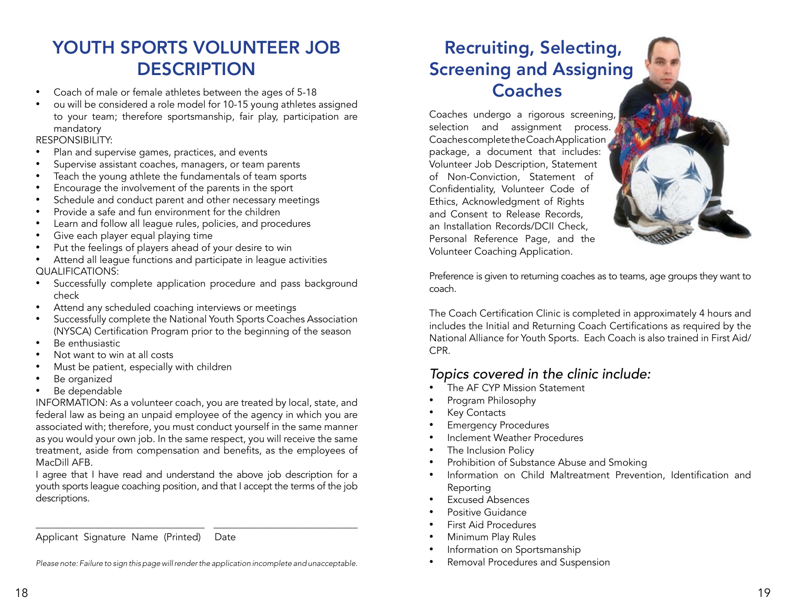## YOUTH SPORTS VOLUNTEER JOB **DESCRIPTION**

- Coach of male or female athletes between the ages of 5-18
- ou will be considered a role model for 10-15 young athletes assigned to your team; therefore sportsmanship, fair play, participation are mandatory

#### RESPONSIBILITY:

- Plan and supervise games, practices, and events
- Supervise assistant coaches, managers, or team parents
- Teach the young athlete the fundamentals of team sports
- Encourage the involvement of the parents in the sport
- Schedule and conduct parent and other necessary meetings
- Provide a safe and fun environment for the children
- Learn and follow all league rules, policies, and procedures
- Give each player equal playing time
- Put the feelings of players ahead of your desire to win
- Attend all league functions and participate in league activities QUALIFICATIONS:
- Successfully complete application procedure and pass background check
- Attend any scheduled coaching interviews or meetings
- Successfully complete the National Youth Sports Coaches Association (NYSCA) Certification Program prior to the beginning of the season
- Be enthusiastic
- Not want to win at all costs
- Must be patient, especially with children
- Be organized
- Be dependable

INFORMATION: As a volunteer coach, you are treated by local, state, and federal law as being an unpaid employee of the agency in which you are associated with; therefore, you must conduct yourself in the same manner as you would your own job. In the same respect, you will receive the same treatment, aside from compensation and benefits, as the employees of MacDill AFB.

I agree that I have read and understand the above job description for a youth sports league coaching position, and that I accept the terms of the job descriptions.

\_\_\_\_\_\_\_\_\_\_\_\_\_\_\_\_\_\_\_\_\_\_\_\_\_\_\_\_\_\_\_\_\_\_ \_\_\_\_\_\_\_\_\_\_\_\_\_\_\_\_\_\_\_\_\_\_\_\_\_\_\_\_\_

Applicant Signature Name (Printed) Date

*Please note: Failure to sign this page will render the application incomplete and unacceptable.*

## Recruiting, Selecting, Screening and Assigning **Coaches**

Coaches undergo a rigorous screening, selection and assignment process. Coaches complete the Coach Application package, a document that includes: Volunteer Job Description, Statement of Non-Conviction, Statement of Confidentiality, Volunteer Code of Ethics, Acknowledgment of Rights and Consent to Release Records, an Installation Records/DCII Check, Personal Reference Page, and the Volunteer Coaching Application.

Preference is given to returning coaches as to teams, age groups they want to coach.

The Coach Certification Clinic is completed in approximately 4 hours and includes the Initial and Returning Coach Certifications as required by the National Alliance for Youth Sports. Each Coach is also trained in First Aid/ CPR.

#### *Topics covered in the clinic include:*

- The AF CYP Mission Statement
- Program Philosophy
- **Key Contacts**
- **Emergency Procedures**
- Inclement Weather Procedures
- The Inclusion Policy
- Prohibition of Substance Abuse and Smoking
- Information on Child Maltreatment Prevention, Identification and Reporting
- Excused Absences
- Positive Guidance
- First Aid Procedures
- Minimum Play Rules
- Information on Sportsmanship
- Removal Procedures and Suspension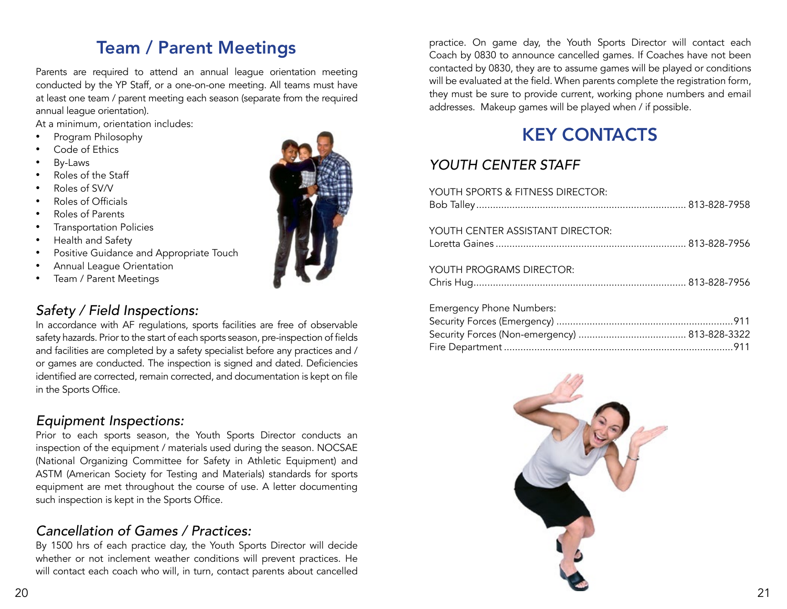## Team / Parent Meetings

Parents are required to attend an annual league orientation meeting conducted by the YP Staff, or a one-on-one meeting. All teams must have at least one team / parent meeting each season (separate from the required annual league orientation).

At a minimum, orientation includes:

- Program Philosophy
- Code of Ethics
- By-Laws
- Roles of the Staff
- Roles of SV/V
- Roles of Officials
- Roles of Parents
- Transportation Policies
- Health and Safety
- Positive Guidance and Appropriate Touch
- Annual League Orientation
- Team / Parent Meetings

### *Safety / Field Inspections:*

In accordance with AF regulations, sports facilities are free of observable safety hazards. Prior to the start of each sports season, pre-inspection of fields and facilities are completed by a safety specialist before any practices and / or games are conducted. The inspection is signed and dated. Deficiencies identified are corrected, remain corrected, and documentation is kept on file in the Sports Office.

### *Equipment Inspections:*

Prior to each sports season, the Youth Sports Director conducts an inspection of the equipment / materials used during the season. NOCSAE (National Organizing Committee for Safety in Athletic Equipment) and ASTM (American Society for Testing and Materials) standards for sports equipment are met throughout the course of use. A letter documenting such inspection is kept in the Sports Office.

### *Cancellation of Games / Practices:*

By 1500 hrs of each practice day, the Youth Sports Director will decide whether or not inclement weather conditions will prevent practices. He will contact each coach who will, in turn, contact parents about cancelled

practice. On game day, the Youth Sports Director will contact each Coach by 0830 to announce cancelled games. If Coaches have not been contacted by 0830, they are to assume games will be played or conditions will be evaluated at the field. When parents complete the registration form, they must be sure to provide current, working phone numbers and email addresses. Makeup games will be played when / if possible.

## KEY CONTACTS

### *YOUTH CENTER STAFF*

| YOUTH SPORTS & FITNESS DIRECTOR: |  |
|----------------------------------|--|
| YOUTH CENTER ASSISTANT DIRECTOR: |  |
| YOUTH PROGRAMS DIRECTOR:         |  |
| <b>Emergency Phone Numbers:</b>  |  |

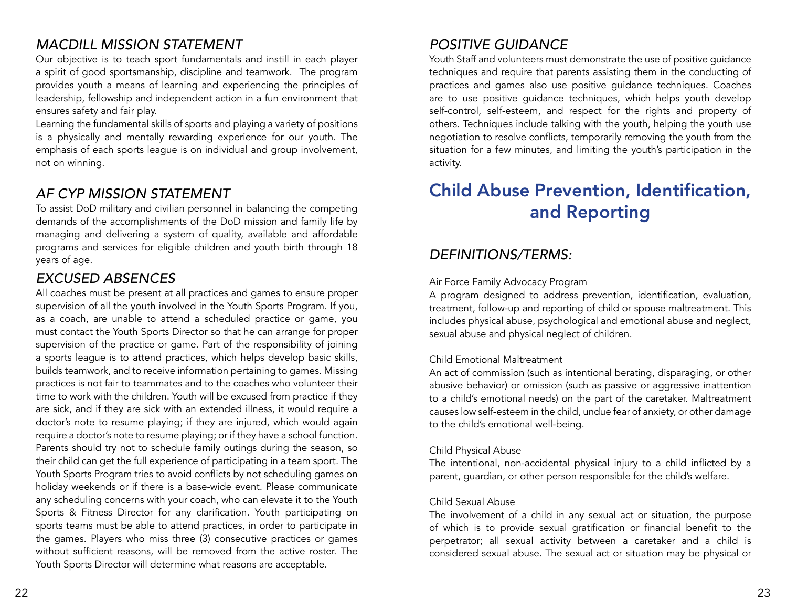### *MACDILL MISSION STATEMENT*

Our objective is to teach sport fundamentals and instill in each player a spirit of good sportsmanship, discipline and teamwork. The program provides youth a means of learning and experiencing the principles of leadership, fellowship and independent action in a fun environment that ensures safety and fair play.

Learning the fundamental skills of sports and playing a variety of positions is a physically and mentally rewarding experience for our youth. The emphasis of each sports league is on individual and group involvement, not on winning.

### *AF CYP MISSION STATEMENT*

To assist DoD military and civilian personnel in balancing the competing demands of the accomplishments of the DoD mission and family life by managing and delivering a system of quality, available and affordable programs and services for eligible children and youth birth through 18 years of age.

### *EXCUSED ABSENCES*

All coaches must be present at all practices and games to ensure proper supervision of all the youth involved in the Youth Sports Program. If you, as a coach, are unable to attend a scheduled practice or game, you must contact the Youth Sports Director so that he can arrange for proper supervision of the practice or game. Part of the responsibility of joining a sports league is to attend practices, which helps develop basic skills, builds teamwork, and to receive information pertaining to games. Missing practices is not fair to teammates and to the coaches who volunteer their time to work with the children. Youth will be excused from practice if they are sick, and if they are sick with an extended illness, it would require a doctor's note to resume playing; if they are injured, which would again require a doctor's note to resume playing; or if they have a school function. Parents should try not to schedule family outings during the season, so their child can get the full experience of participating in a team sport. The Youth Sports Program tries to avoid conflicts by not scheduling games on holiday weekends or if there is a base-wide event. Please communicate any scheduling concerns with your coach, who can elevate it to the Youth Sports & Fitness Director for any clarification. Youth participating on sports teams must be able to attend practices, in order to participate in the games. Players who miss three (3) consecutive practices or games without sufficient reasons, will be removed from the active roster. The Youth Sports Director will determine what reasons are acceptable.

### *POSITIVE GUIDANCE*

Youth Staff and volunteers must demonstrate the use of positive guidance techniques and require that parents assisting them in the conducting of practices and games also use positive guidance techniques. Coaches are to use positive guidance techniques, which helps youth develop self-control, self-esteem, and respect for the rights and property of others. Techniques include talking with the youth, helping the youth use negotiation to resolve conflicts, temporarily removing the youth from the situation for a few minutes, and limiting the youth's participation in the activity.

## Child Abuse Prevention, Identification, and Reporting

### *DEFINITIONS/TERMS:*

#### Air Force Family Advocacy Program

A program designed to address prevention, identification, evaluation, treatment, follow-up and reporting of child or spouse maltreatment. This includes physical abuse, psychological and emotional abuse and neglect, sexual abuse and physical neglect of children.

#### Child Emotional Maltreatment

An act of commission (such as intentional berating, disparaging, or other abusive behavior) or omission (such as passive or aggressive inattention to a child's emotional needs) on the part of the caretaker. Maltreatment causes low self-esteem in the child, undue fear of anxiety, or other damage to the child's emotional well-being.

#### Child Physical Abuse

The intentional, non-accidental physical injury to a child inflicted by a parent, guardian, or other person responsible for the child's welfare.

#### Child Sexual Abuse

The involvement of a child in any sexual act or situation, the purpose of which is to provide sexual gratification or financial benefit to the perpetrator; all sexual activity between a caretaker and a child is considered sexual abuse. The sexual act or situation may be physical or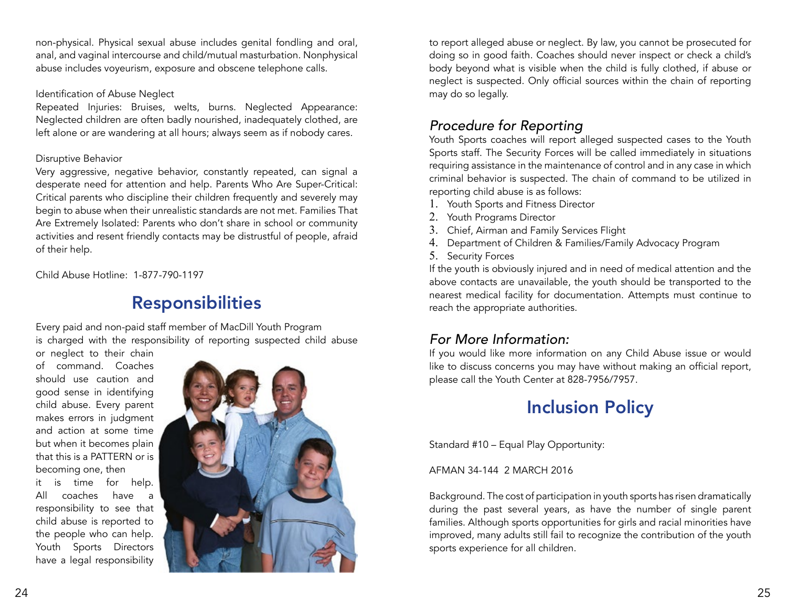non-physical. Physical sexual abuse includes genital fondling and oral, anal, and vaginal intercourse and child/mutual masturbation. Nonphysical abuse includes voyeurism, exposure and obscene telephone calls.

#### Identification of Abuse Neglect

Repeated Injuries: Bruises, welts, burns. Neglected Appearance: Neglected children are often badly nourished, inadequately clothed, are left alone or are wandering at all hours; always seem as if nobody cares.

#### Disruptive Behavior

Very aggressive, negative behavior, constantly repeated, can signal a desperate need for attention and help. Parents Who Are Super-Critical: Critical parents who discipline their children frequently and severely may begin to abuse when their unrealistic standards are not met. Families That Are Extremely Isolated: Parents who don't share in school or community activities and resent friendly contacts may be distrustful of people, afraid of their help.

Child Abuse Hotline: 1-877-790-1197

## **Responsibilities**

Every paid and non-paid staff member of MacDill Youth Program is charged with the responsibility of reporting suspected child abuse

or neglect to their chain of command. Coaches should use caution and good sense in identifying child abuse. Every parent makes errors in judgment and action at some time but when it becomes plain that this is a PATTERN or is becoming one, then

it is time for help. All coaches have a responsibility to see that child abuse is reported to the people who can help. Youth Sports Directors have a legal responsibility



to report alleged abuse or neglect. By law, you cannot be prosecuted for doing so in good faith. Coaches should never inspect or check a child's body beyond what is visible when the child is fully clothed, if abuse or neglect is suspected. Only official sources within the chain of reporting may do so legally.

#### *Procedure for Reporting*

Youth Sports coaches will report alleged suspected cases to the Youth Sports staff. The Security Forces will be called immediately in situations requiring assistance in the maintenance of control and in any case in which criminal behavior is suspected. The chain of command to be utilized in reporting child abuse is as follows:

- 1. Youth Sports and Fitness Director
- 2. Youth Programs Director
- 3. Chief, Airman and Family Services Flight
- 4. Department of Children & Families/Family Advocacy Program
- 5. Security Forces

If the youth is obviously injured and in need of medical attention and the above contacts are unavailable, the youth should be transported to the nearest medical facility for documentation. Attempts must continue to reach the appropriate authorities.

#### *For More Information:*

If you would like more information on any Child Abuse issue or would like to discuss concerns you may have without making an official report, please call the Youth Center at 828-7956/7957.

## Inclusion Policy

Standard #10 – Equal Play Opportunity:

AFMAN 34-144 2 MARCH 2016

Background. The cost of participation in youth sports has risen dramatically during the past several years, as have the number of single parent families. Although sports opportunities for girls and racial minorities have improved, many adults still fail to recognize the contribution of the youth sports experience for all children.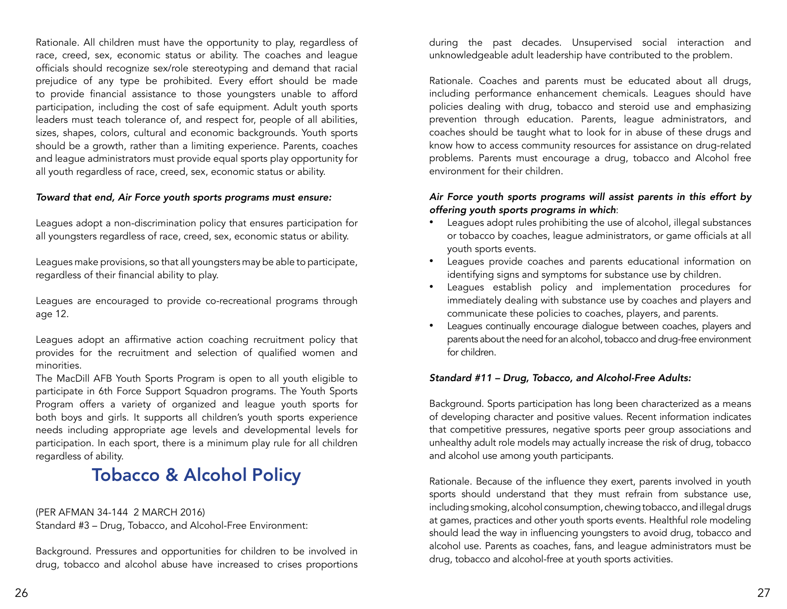Rationale. All children must have the opportunity to play, regardless of race, creed, sex, economic status or ability. The coaches and league officials should recognize sex/role stereotyping and demand that racial prejudice of any type be prohibited. Every effort should be made to provide financial assistance to those youngsters unable to afford participation, including the cost of safe equipment. Adult youth sports leaders must teach tolerance of, and respect for, people of all abilities, sizes, shapes, colors, cultural and economic backgrounds. Youth sports should be a growth, rather than a limiting experience. Parents, coaches and league administrators must provide equal sports play opportunity for all youth regardless of race, creed, sex, economic status or ability.

#### *Toward that end, Air Force youth sports programs must ensure:*

Leagues adopt a non-discrimination policy that ensures participation for all youngsters regardless of race, creed, sex, economic status or ability.

Leagues make provisions, so that all youngsters may be able to participate, regardless of their financial ability to play.

Leagues are encouraged to provide co-recreational programs through age 12.

Leagues adopt an affirmative action coaching recruitment policy that provides for the recruitment and selection of qualified women and minorities.

The MacDill AFB Youth Sports Program is open to all youth eligible to participate in 6th Force Support Squadron programs. The Youth Sports Program offers a variety of organized and league youth sports for both boys and girls. It supports all children's youth sports experience needs including appropriate age levels and developmental levels for participation. In each sport, there is a minimum play rule for all children regardless of ability.

## Tobacco & Alcohol Policy

#### (PER AFMAN 34-144 2 MARCH 2016)

Standard #3 – Drug, Tobacco, and Alcohol-Free Environment:

Background. Pressures and opportunities for children to be involved in drug, tobacco and alcohol abuse have increased to crises proportions during the past decades. Unsupervised social interaction and unknowledgeable adult leadership have contributed to the problem.

Rationale. Coaches and parents must be educated about all drugs, including performance enhancement chemicals. Leagues should have policies dealing with drug, tobacco and steroid use and emphasizing prevention through education. Parents, league administrators, and coaches should be taught what to look for in abuse of these drugs and know how to access community resources for assistance on drug-related problems. Parents must encourage a drug, tobacco and Alcohol free environment for their children.

#### *Air Force youth sports programs will assist parents in this effort by offering youth sports programs in which*:

- Leagues adopt rules prohibiting the use of alcohol, illegal substances or tobacco by coaches, league administrators, or game officials at all youth sports events.
- Leagues provide coaches and parents educational information on identifying signs and symptoms for substance use by children.
- Leagues establish policy and implementation procedures for immediately dealing with substance use by coaches and players and communicate these policies to coaches, players, and parents.
- Leagues continually encourage dialogue between coaches, players and parents about the need for an alcohol, tobacco and drug-free environment for children.

#### *Standard #11 – Drug, Tobacco, and Alcohol-Free Adults:*

Background. Sports participation has long been characterized as a means of developing character and positive values. Recent information indicates that competitive pressures, negative sports peer group associations and unhealthy adult role models may actually increase the risk of drug, tobacco and alcohol use among youth participants.

Rationale. Because of the influence they exert, parents involved in youth sports should understand that they must refrain from substance use, including smoking, alcohol consumption, chewing tobacco, and illegal drugs at games, practices and other youth sports events. Healthful role modeling should lead the way in influencing youngsters to avoid drug, tobacco and alcohol use. Parents as coaches, fans, and league administrators must be drug, tobacco and alcohol-free at youth sports activities.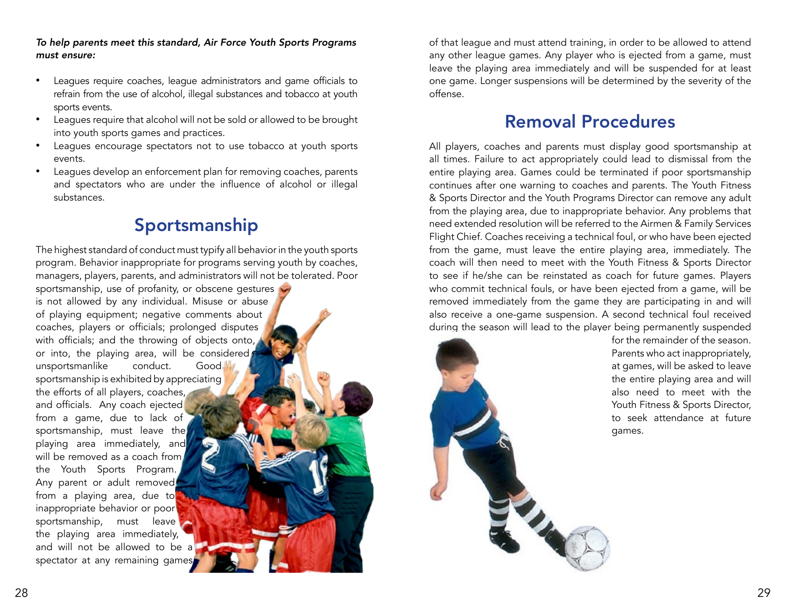*To help parents meet this standard, Air Force Youth Sports Programs must ensure:* 

- Leagues require coaches, league administrators and game officials to refrain from the use of alcohol, illegal substances and tobacco at youth sports events.
- Leagues require that alcohol will not be sold or allowed to be brought into youth sports games and practices.
- Leagues encourage spectators not to use tobacco at youth sports events.
- Leagues develop an enforcement plan for removing coaches, parents and spectators who are under the influence of alcohol or illegal substances.

# Sportsmanship

The highest standard of conduct must typify all behavior in the youth sports program. Behavior inappropriate for programs serving youth by coaches, managers, players, parents, and administrators will not be tolerated. Poor

sportsmanship, use of profanity, or obscene gestures is not allowed by any individual. Misuse or abuse of playing equipment; negative comments about coaches, players or officials; prolonged disputes with officials; and the throwing of objects onto, or into, the playing area, will be considered unsportsmanlike conduct. Good sportsmanship is exhibited by appreciating the efforts of all players, coaches, and officials. Any coach ejected from a game, due to lack of sportsmanship, must leave the playing area immediately, and will be removed as a coach from the Youth Sports Program. Any parent or adult removed from a playing area, due to inappropriate behavior or poor sportsmanship, must leave the playing area immediately, and will not be allowed to be a spectator at any remaining games

of that league and must attend training, in order to be allowed to attend any other league games. Any player who is ejected from a game, must leave the playing area immediately and will be suspended for at least one game. Longer suspensions will be determined by the severity of the offense.

## Removal Procedures

All players, coaches and parents must display good sportsmanship at all times. Failure to act appropriately could lead to dismissal from the entire playing area. Games could be terminated if poor sportsmanship continues after one warning to coaches and parents. The Youth Fitness & Sports Director and the Youth Programs Director can remove any adult from the playing area, due to inappropriate behavior. Any problems that need extended resolution will be referred to the Airmen & Family Services Flight Chief. Coaches receiving a technical foul, or who have been ejected from the game, must leave the entire playing area, immediately. The coach will then need to meet with the Youth Fitness & Sports Director to see if he/she can be reinstated as coach for future games. Players who commit technical fouls, or have been ejected from a game, will be removed immediately from the game they are participating in and will also receive a one-game suspension. A second technical foul received during the season will lead to the player being permanently suspended



for the remainder of the season. Parents who act inappropriately, at games, will be asked to leave the entire playing area and will also need to meet with the Youth Fitness & Sports Director, to seek attendance at future games.